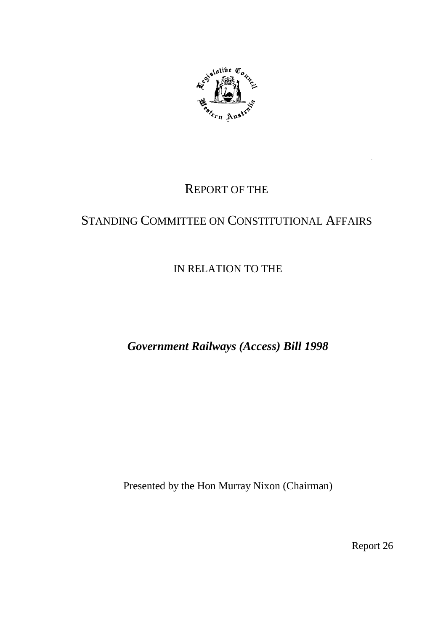

# REPORT OF THE

# STANDING COMMITTEE ON CONSTITUTIONAL AFFAIRS

# IN RELATION TO THE

*Government Railways (Access) Bill 1998*

Presented by the Hon Murray Nixon (Chairman)

Report 26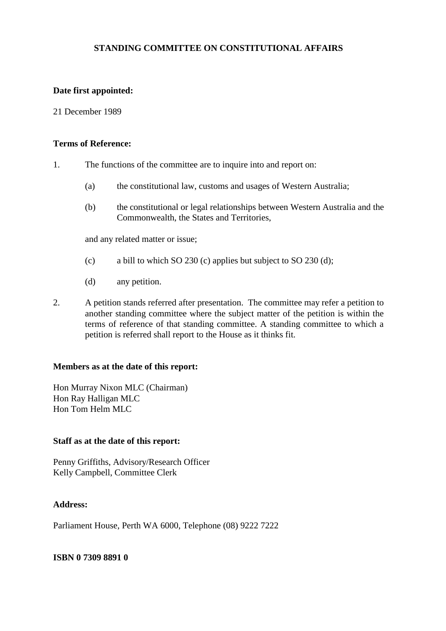#### **STANDING COMMITTEE ON CONSTITUTIONAL AFFAIRS**

#### **Date first appointed:**

#### 21 December 1989

#### **Terms of Reference:**

- 1. The functions of the committee are to inquire into and report on:
	- (a) the constitutional law, customs and usages of Western Australia;
	- (b) the constitutional or legal relationships between Western Australia and the Commonwealth, the States and Territories,

and any related matter or issue;

- (c) a bill to which SO 230 (c) applies but subject to SO 230 (d);
- (d) any petition.
- 2. A petition stands referred after presentation. The committee may refer a petition to another standing committee where the subject matter of the petition is within the terms of reference of that standing committee. A standing committee to which a petition is referred shall report to the House as it thinks fit.

#### **Members as at the date of this report:**

Hon Murray Nixon MLC (Chairman) Hon Ray Halligan MLC Hon Tom Helm MLC

#### **Staff as at the date of this report:**

Penny Griffiths, Advisory/Research Officer Kelly Campbell, Committee Clerk

#### **Address:**

Parliament House, Perth WA 6000, Telephone (08) 9222 7222

#### **ISBN 0 7309 8891 0**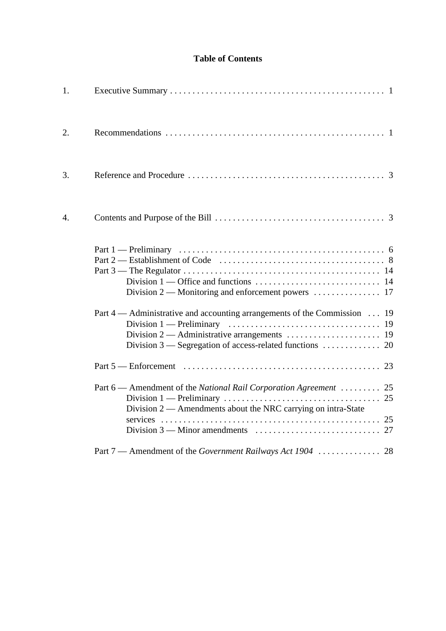## **Table of Contents**

| 1. |                                                                                                                                          |
|----|------------------------------------------------------------------------------------------------------------------------------------------|
| 2. |                                                                                                                                          |
| 3. |                                                                                                                                          |
| 4. |                                                                                                                                          |
|    | Division 2 — Monitoring and enforcement powers $\dots \dots \dots \dots \dots$ 17                                                        |
|    | Part 4 — Administrative and accounting arrangements of the Commission  19                                                                |
|    |                                                                                                                                          |
|    | Part 6 — Amendment of the <i>National Rail Corporation Agreement</i> 25<br>Division 2 — Amendments about the NRC carrying on intra-State |
|    | Part 7 — Amendment of the Government Railways Act 1904  28                                                                               |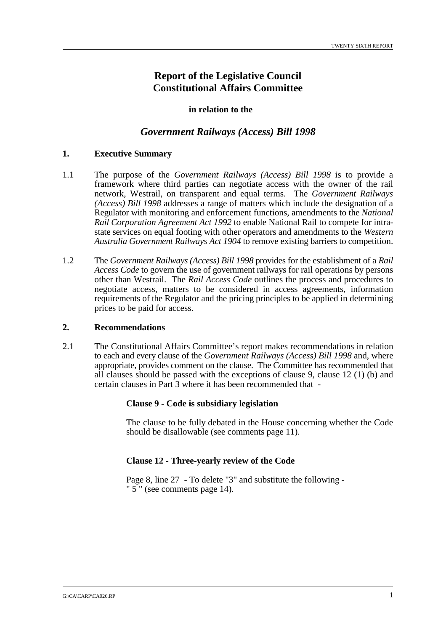## **Report of the Legislative Council Constitutional Affairs Committee**

#### **in relation to the**

## *Government Railways (Access) Bill 1998*

#### **1. Executive Summary**

- 1.1 The purpose of the *Government Railways (Access) Bill 1998* is to provide a framework where third parties can negotiate access with the owner of the rail network, Westrail, on transparent and equal terms. The *Government Railways (Access) Bill 1998* addresses a range of matters which include the designation of a Regulator with monitoring and enforcement functions, amendments to the *National Rail Corporation Agreement Act 1992* to enable National Rail to compete for intrastate services on equal footing with other operators and amendments to the *Western Australia Government Railways Act 1904* to remove existing barriers to competition.
- 1.2 The *Government Railways (Access) Bill 1998* provides for the establishment of a *Rail Access Code* to govern the use of government railways for rail operations by persons other than Westrail. The *Rail Access Code* outlines the process and procedures to negotiate access, matters to be considered in access agreements, information requirements of the Regulator and the pricing principles to be applied in determining prices to be paid for access.

#### **2. Recommendations**

2.1 The Constitutional Affairs Committee's report makes recommendations in relation to each and every clause of the *Government Railways (Access) Bill 1998* and, where appropriate, provides comment on the clause. The Committee has recommended that all clauses should be passed with the exceptions of clause 9, clause 12 (1) (b) and certain clauses in Part 3 where it has been recommended that -

#### **Clause 9 - Code is subsidiary legislation**

The clause to be fully debated in the House concerning whether the Code should be disallowable (see comments page 11).

#### **Clause 12 - Three-yearly review of the Code**

Page 8, line 27 - To delete "3" and substitute the following - "  $5$ " (see comments page 14).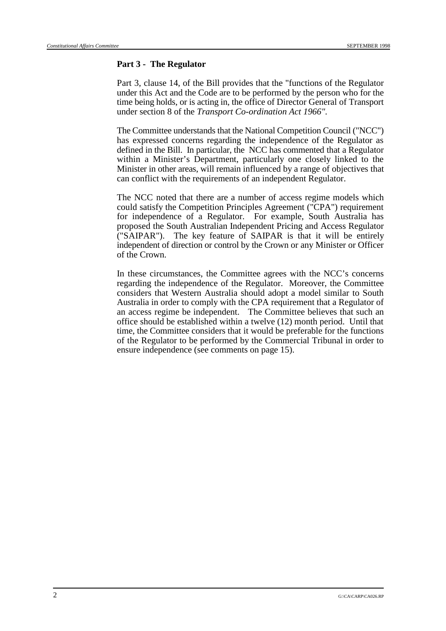#### **Part 3 - The Regulator**

Part 3, clause 14, of the Bill provides that the "functions of the Regulator under this Act and the Code are to be performed by the person who for the time being holds, or is acting in, the office of Director General of Transport under section 8 of the *Transport Co-ordination Act 1966".*

The Committee understands that the National Competition Council ("NCC") has expressed concerns regarding the independence of the Regulator as defined in the Bill. In particular, the NCC has commented that a Regulator within a Minister's Department, particularly one closely linked to the Minister in other areas, will remain influenced by a range of objectives that can conflict with the requirements of an independent Regulator.

The NCC noted that there are a number of access regime models which could satisfy the Competition Principles Agreement ("CPA") requirement for independence of a Regulator. For example, South Australia has proposed the South Australian Independent Pricing and Access Regulator ("SAIPAR"). The key feature of SAIPAR is that it will be entirely independent of direction or control by the Crown or any Minister or Officer of the Crown.

In these circumstances, the Committee agrees with the NCC's concerns regarding the independence of the Regulator. Moreover, the Committee considers that Western Australia should adopt a model similar to South Australia in order to comply with the CPA requirement that a Regulator of an access regime be independent. The Committee believes that such an office should be established within a twelve (12) month period. Until that time, the Committee considers that it would be preferable for the functions of the Regulator to be performed by the Commercial Tribunal in order to ensure independence (see comments on page 15).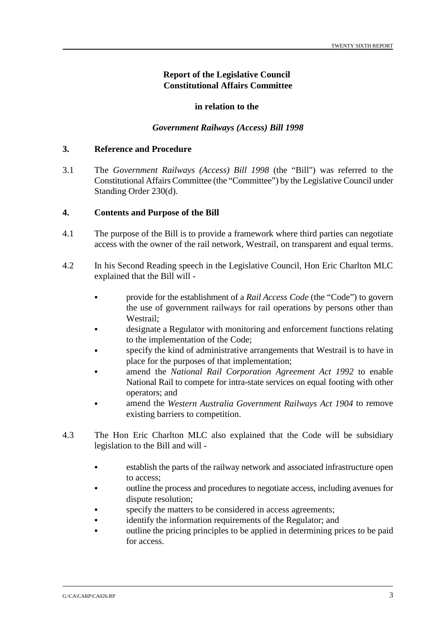#### **Report of the Legislative Council Constitutional Affairs Committee**

#### **in relation to the**

#### *Government Railways (Access) Bill 1998*

#### **3. Reference and Procedure**

3.1 The *Government Railways (Access) Bill 1998* (the "Bill") was referred to the Constitutional Affairs Committee (the "Committee") by the Legislative Council under Standing Order 230(d).

#### **4. Contents and Purpose of the Bill**

- 4.1 The purpose of the Bill is to provide a framework where third parties can negotiate access with the owner of the rail network, Westrail, on transparent and equal terms.
- 4.2 In his Second Reading speech in the Legislative Council, Hon Eric Charlton MLC explained that the Bill will -
	- & provide for the establishment of a *Rail Access Code* (the "Code") to govern the use of government railways for rail operations by persons other than Westrail;
	- designate a Regulator with monitoring and enforcement functions relating to the implementation of the Code;
	- specify the kind of administrative arrangements that Westrail is to have in place for the purposes of that implementation;
	- & amend the *National Rail Corporation Agreement Act 1992* to enable National Rail to compete for intra-state services on equal footing with other operators; and
	- & amend the *Western Australia Government Railways Act 1904* to remove existing barriers to competition.
- 4.3 The Hon Eric Charlton MLC also explained that the Code will be subsidiary legislation to the Bill and will -
	- & establish the parts of the railway network and associated infrastructure open to access;
	- & outline the process and procedures to negotiate access, including avenues for dispute resolution;
	- specify the matters to be considered in access agreements;
	- & identify the information requirements of the Regulator; and
	- outline the pricing principles to be applied in determining prices to be paid for access.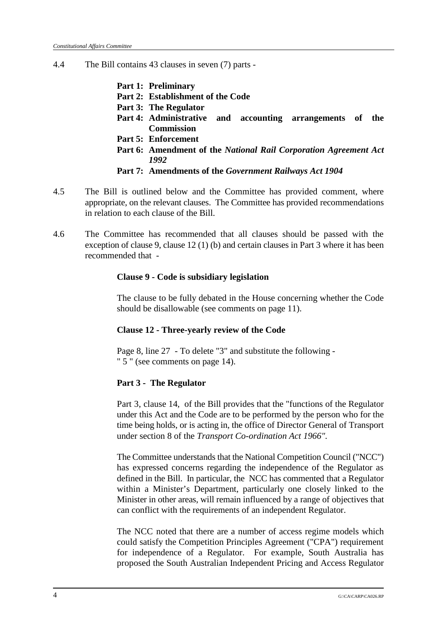- 4.4 The Bill contains 43 clauses in seven (7) parts
	- **Part 1: Preliminary**
	- **Part 2: Establishment of the Code**
	- **Part 3: The Regulator**
	- **Part 4: Administrative and accounting arrangements of the Commission**
	- **Part 5: Enforcement**
	- **Part 6: Amendment of the** *National Rail Corporation Agreement Act 1992*
	- **Part 7: Amendments of the** *Government Railways Act 1904*
- 4.5 The Bill is outlined below and the Committee has provided comment, where appropriate, on the relevant clauses. The Committee has provided recommendations in relation to each clause of the Bill.
- 4.6 The Committee has recommended that all clauses should be passed with the exception of clause 9, clause 12 (1) (b) and certain clauses in Part 3 where it has been recommended that -

#### **Clause 9 - Code is subsidiary legislation**

The clause to be fully debated in the House concerning whether the Code should be disallowable (see comments on page 11).

## **Clause 12 - Three-yearly review of the Code**

Page 8, line 27 - To delete "3" and substitute the following - " 5 " (see comments on page 14).

## **Part 3 - The Regulator**

Part 3, clause 14, of the Bill provides that the "functions of the Regulator under this Act and the Code are to be performed by the person who for the time being holds, or is acting in, the office of Director General of Transport under section 8 of the *Transport Co-ordination Act 1966".*

The Committee understands that the National Competition Council ("NCC") has expressed concerns regarding the independence of the Regulator as defined in the Bill. In particular, the NCC has commented that a Regulator within a Minister's Department, particularly one closely linked to the Minister in other areas, will remain influenced by a range of objectives that can conflict with the requirements of an independent Regulator.

The NCC noted that there are a number of access regime models which could satisfy the Competition Principles Agreement ("CPA") requirement for independence of a Regulator. For example, South Australia has proposed the South Australian Independent Pricing and Access Regulator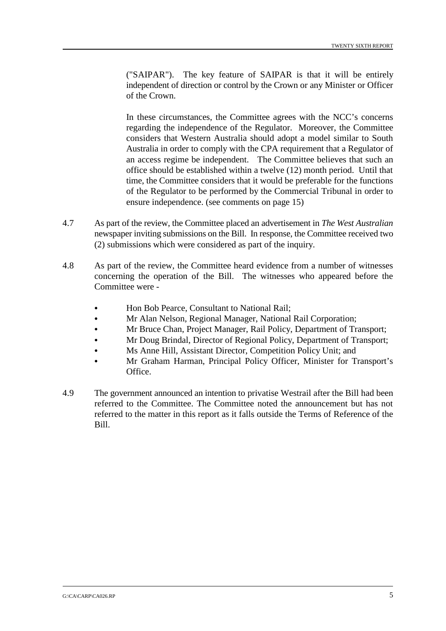("SAIPAR"). The key feature of SAIPAR is that it will be entirely independent of direction or control by the Crown or any Minister or Officer of the Crown.

In these circumstances, the Committee agrees with the NCC's concerns regarding the independence of the Regulator. Moreover, the Committee considers that Western Australia should adopt a model similar to South Australia in order to comply with the CPA requirement that a Regulator of an access regime be independent. The Committee believes that such an office should be established within a twelve (12) month period. Until that time, the Committee considers that it would be preferable for the functions of the Regulator to be performed by the Commercial Tribunal in order to ensure independence. (see comments on page 15)

- 4.7 As part of the review, the Committee placed an advertisement in *The West Australian* newspaper inviting submissions on the Bill. In response, the Committee received two (2) submissions which were considered as part of the inquiry.
- 4.8 As part of the review, the Committee heard evidence from a number of witnesses concerning the operation of the Bill. The witnesses who appeared before the Committee were -
	- & Hon Bob Pearce, Consultant to National Rail;
	- & Mr Alan Nelson, Regional Manager, National Rail Corporation;
	- & Mr Bruce Chan, Project Manager, Rail Policy, Department of Transport;
	- & Mr Doug Brindal, Director of Regional Policy, Department of Transport;
	- & Ms Anne Hill, Assistant Director, Competition Policy Unit; and
	- & Mr Graham Harman, Principal Policy Officer, Minister for Transport's Office.
- 4.9 The government announced an intention to privatise Westrail after the Bill had been referred to the Committee. The Committee noted the announcement but has not referred to the matter in this report as it falls outside the Terms of Reference of the Bill.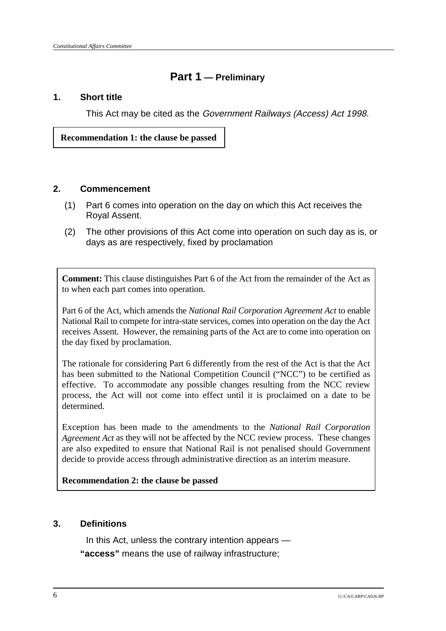## **Part 1 — Preliminary**

## **1. Short title**

This Act may be cited as the Government Railways (Access) Act 1998.

 **Recommendation 1: the clause be passed**

## **2. Commencement**

- (1) Part 6 comes into operation on the day on which this Act receives the Royal Assent.
- (2) The other provisions of this Act come into operation on such day as is, or days as are respectively, fixed by proclamation

**Comment:** This clause distinguishes Part 6 of the Act from the remainder of the Act as to when each part comes into operation.

Part 6 of the Act, which amends the *National Rail Corporation Agreement Act* to enable National Rail to compete for intra-state services, comes into operation on the day the Act receives Assent. However, the remaining parts of the Act are to come into operation on the day fixed by proclamation.

The rationale for considering Part 6 differently from the rest of the Act is that the Act has been submitted to the National Competition Council ("NCC") to be certified as effective. To accommodate any possible changes resulting from the NCC review process, the Act will not come into effect until it is proclaimed on a date to be determined.

Exception has been made to the amendments to the *National Rail Corporation Agreement Act* as they will not be affected by the NCC review process. These changes are also expedited to ensure that National Rail is not penalised should Government decide to provide access through administrative direction as an interim measure.

## **Recommendation 2: the clause be passed**

## **3. Definitions**

In this Act, unless the contrary intention appears — **"access"** means the use of railway infrastructure;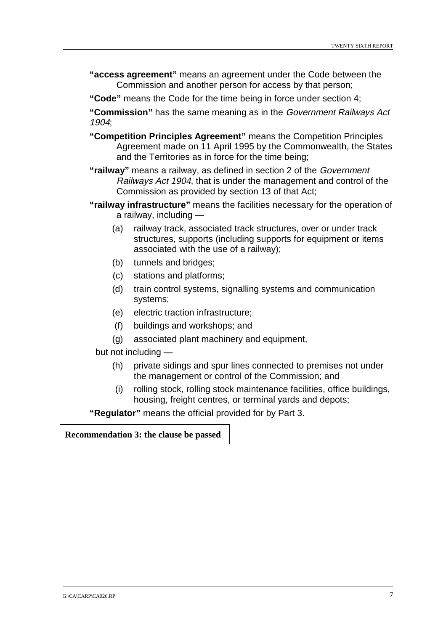- **"access agreement"** means an agreement under the Code between the Commission and another person for access by that person;
- **"Code"** means the Code for the time being in force under section 4;

**"Commission"** has the same meaning as in the Government Railways Act 1904;

- **"Competition Principles Agreement"** means the Competition Principles Agreement made on 11 April 1995 by the Commonwealth, the States and the Territories as in force for the time being;
- **"railway"** means a railway, as defined in section 2 of the Government Railways Act 1904, that is under the management and control of the Commission as provided by section 13 of that Act;
- **"railway infrastructure"** means the facilities necessary for the operation of a railway, including —
	- (a) railway track, associated track structures, over or under track structures, supports (including supports for equipment or items associated with the use of a railway);
	- (b) tunnels and bridges;
	- (c) stations and platforms;
	- (d) train control systems, signalling systems and communication systems;
	- (e) electric traction infrastructure;
	- (f) buildings and workshops; and
	- (g) associated plant machinery and equipment,

but not including —

- (h) private sidings and spur lines connected to premises not under the management or control of the Commission; and
- (i) rolling stock, rolling stock maintenance facilities, office buildings, housing, freight centres, or terminal yards and depots;

**"Regulator"** means the official provided for by Part 3.

**Recommendation 3: the clause be passed**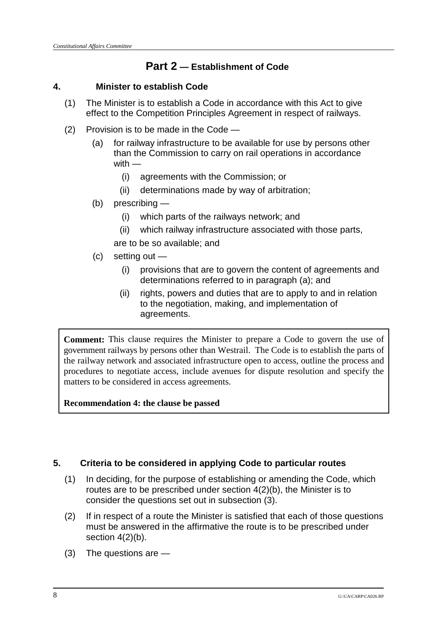## **Part 2 — Establishment of Code**

## **4. Minister to establish Code**

- (1) The Minister is to establish a Code in accordance with this Act to give effect to the Competition Principles Agreement in respect of railways.
- (2) Provision is to be made in the Code
	- (a) for railway infrastructure to be available for use by persons other than the Commission to carry on rail operations in accordance with —
		- (i) agreements with the Commission; or
		- (ii) determinations made by way of arbitration;
	- (b) prescribing
		- (i) which parts of the railways network; and
		- (ii) which railway infrastructure associated with those parts,

are to be so available; and

- (c) setting out
	- (i) provisions that are to govern the content of agreements and determinations referred to in paragraph (a); and
	- (ii) rights, powers and duties that are to apply to and in relation to the negotiation, making, and implementation of agreements.

**Comment:** This clause requires the Minister to prepare a Code to govern the use of government railways by persons other than Westrail. The Code is to establish the parts of the railway network and associated infrastructure open to access, outline the process and procedures to negotiate access, include avenues for dispute resolution and specify the matters to be considered in access agreements.

**Recommendation 4: the clause be passed**

## **5. Criteria to be considered in applying Code to particular routes**

- (1) In deciding, for the purpose of establishing or amending the Code, which routes are to be prescribed under section 4(2)(b), the Minister is to consider the questions set out in subsection (3).
- (2) If in respect of a route the Minister is satisfied that each of those questions must be answered in the affirmative the route is to be prescribed under section 4(2)(b).
- (3) The questions are —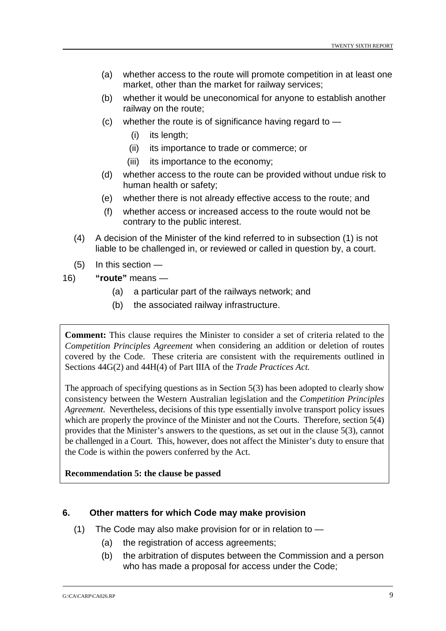- (a) whether access to the route will promote competition in at least one market, other than the market for railway services;
- (b) whether it would be uneconomical for anyone to establish another railway on the route;
- $(c)$  whether the route is of significance having regard to  $-$ 
	- (i) its length;
	- (ii) its importance to trade or commerce; or
	- (iii) its importance to the economy;
- (d) whether access to the route can be provided without undue risk to human health or safety;
- (e) whether there is not already effective access to the route; and
- (f) whether access or increased access to the route would not be contrary to the public interest.
- (4) A decision of the Minister of the kind referred to in subsection (1) is not liable to be challenged in, or reviewed or called in question by, a court.
- (5) In this section —
- 16) **"route"** means
	- (a) a particular part of the railways network; and
	- (b) the associated railway infrastructure.

**Comment:** This clause requires the Minister to consider a set of criteria related to the *Competition Principles Agreement* when considering an addition or deletion of routes covered by the Code. These criteria are consistent with the requirements outlined in Sections 44G(2) and 44H(4) of Part IIIA of the *Trade Practices Act.*

The approach of specifying questions as in Section 5(3) has been adopted to clearly show consistency between the Western Australian legislation and the *Competition Principles Agreement*. Nevertheless, decisions of this type essentially involve transport policy issues which are properly the province of the Minister and not the Courts. Therefore, section 5(4) provides that the Minister's answers to the questions, as set out in the clause 5(3), cannot be challenged in a Court. This, however, does not affect the Minister's duty to ensure that the Code is within the powers conferred by the Act.

## **Recommendation 5: the clause be passed**

## **6. Other matters for which Code may make provision**

- (1) The Code may also make provision for or in relation to
	- (a) the registration of access agreements;
	- (b) the arbitration of disputes between the Commission and a person who has made a proposal for access under the Code;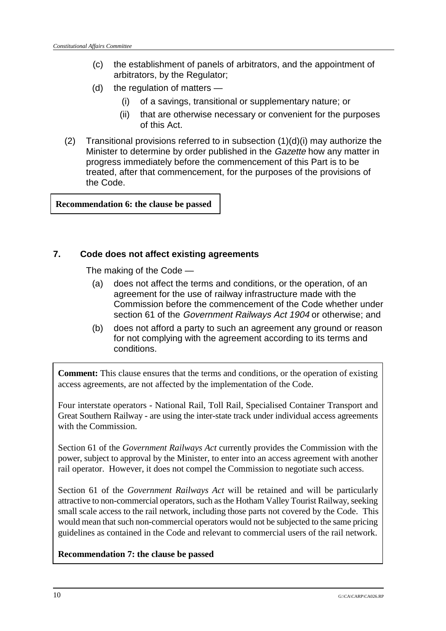- (c) the establishment of panels of arbitrators, and the appointment of arbitrators, by the Regulator;
- (d) the regulation of matters
	- (i) of a savings, transitional or supplementary nature; or
	- (ii) that are otherwise necessary or convenient for the purposes of this Act.
- (2) Transitional provisions referred to in subsection  $(1)(d)(i)$  may authorize the Minister to determine by order published in the Gazette how any matter in progress immediately before the commencement of this Part is to be treated, after that commencement, for the purposes of the provisions of the Code.

**Recommendation 6: the clause be passed**

## **7. Code does not affect existing agreements**

The making of the Code —

- (a) does not affect the terms and conditions, or the operation, of an agreement for the use of railway infrastructure made with the Commission before the commencement of the Code whether under section 61 of the Government Railways Act 1904 or otherwise; and
- (b) does not afford a party to such an agreement any ground or reason for not complying with the agreement according to its terms and conditions.

**Comment:** This clause ensures that the terms and conditions, or the operation of existing access agreements, are not affected by the implementation of the Code.

Four interstate operators - National Rail, Toll Rail, Specialised Container Transport and Great Southern Railway - are using the inter-state track under individual access agreements with the Commission.

Section 61 of the *Government Railways Act* currently provides the Commission with the power, subject to approval by the Minister, to enter into an access agreement with another rail operator. However, it does not compel the Commission to negotiate such access.

Section 61 of the *Government Railways Act* will be retained and will be particularly attractive to non-commercial operators, such as the Hotham Valley Tourist Railway, seeking small scale access to the rail network, including those parts not covered by the Code. This would mean that such non-commercial operators would not be subjected to the same pricing guidelines as contained in the Code and relevant to commercial users of the rail network.

**Recommendation 7: the clause be passed**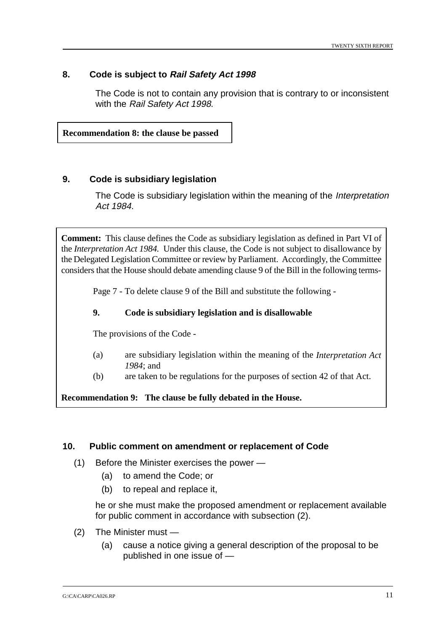## **8. Code is subject to Rail Safety Act 1998**

The Code is not to contain any provision that is contrary to or inconsistent with the Rail Safety Act 1998.

**Recommendation 8: the clause be passed**

#### **9. Code is subsidiary legislation**

The Code is subsidiary legislation within the meaning of the *Interpretation* Act 1984.

**Comment:** This clause defines the Code as subsidiary legislation as defined in Part VI of the *Interpretation Act 1984.* Under this clause, the Code is not subject to disallowance by the Delegated Legislation Committee or review by Parliament. Accordingly, the Committee considers that the House should debate amending clause 9 of the Bill in the following terms-

Page 7 - To delete clause 9 of the Bill and substitute the following -

#### **9. Code is subsidiary legislation and is disallowable**

The provisions of the Code -

- (a) are subsidiary legislation within the meaning of the *Interpretation Act 1984*; and
- (b) are taken to be regulations for the purposes of section 42 of that Act.

**Recommendation 9: The clause be fully debated in the House.**

#### **10. Public comment on amendment or replacement of Code**

- (1) Before the Minister exercises the power
	- (a) to amend the Code; or
	- (b) to repeal and replace it,

he or she must make the proposed amendment or replacement available for public comment in accordance with subsection (2).

- (2) The Minister must
	- (a) cause a notice giving a general description of the proposal to be published in one issue of —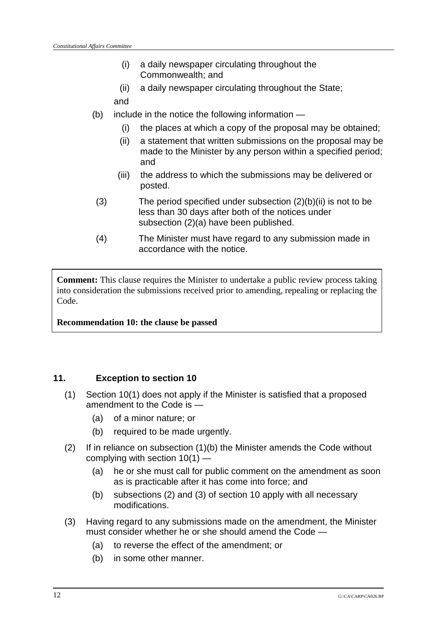- (i) a daily newspaper circulating throughout the Commonwealth; and
- (ii) a daily newspaper circulating throughout the State;
- and
- (b) include in the notice the following information
	- (i) the places at which a copy of the proposal may be obtained;
	- (ii) a statement that written submissions on the proposal may be made to the Minister by any person within a specified period; and
	- (iii) the address to which the submissions may be delivered or posted.
- (3) The period specified under subsection (2)(b)(ii) is not to be less than 30 days after both of the notices under subsection (2)(a) have been published.
- (4) The Minister must have regard to any submission made in accordance with the notice.

**Comment:** This clause requires the Minister to undertake a public review process taking into consideration the submissions received prior to amending, repealing or replacing the Code.

**Recommendation 10: the clause be passed**

## **11. Exception to section 10**

- (1) Section 10(1) does not apply if the Minister is satisfied that a proposed amendment to the Code is —
	- (a) of a minor nature; or
	- (b) required to be made urgently.
- (2) If in reliance on subsection (1)(b) the Minister amends the Code without complying with section 10(1) —
	- (a) he or she must call for public comment on the amendment as soon as is practicable after it has come into force; and
	- (b) subsections (2) and (3) of section 10 apply with all necessary modifications.
- (3) Having regard to any submissions made on the amendment, the Minister must consider whether he or she should amend the Code —
	- (a) to reverse the effect of the amendment; or
	- (b) in some other manner.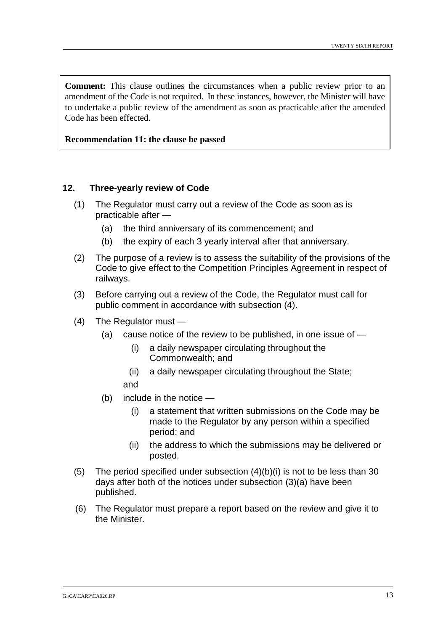**Comment:** This clause outlines the circumstances when a public review prior to an amendment of the Code is not required. In these instances, however, the Minister will have to undertake a public review of the amendment as soon as practicable after the amended Code has been effected.

**Recommendation 11: the clause be passed**

#### **12. Three-yearly review of Code**

- (1) The Regulator must carry out a review of the Code as soon as is practicable after —
	- (a) the third anniversary of its commencement; and
	- (b) the expiry of each 3 yearly interval after that anniversary.
- (2) The purpose of a review is to assess the suitability of the provisions of the Code to give effect to the Competition Principles Agreement in respect of railways.
- (3) Before carrying out a review of the Code, the Regulator must call for public comment in accordance with subsection (4).
- (4) The Regulator must
	- (a) cause notice of the review to be published, in one issue of
		- (i) a daily newspaper circulating throughout the Commonwealth; and
		- (ii) a daily newspaper circulating throughout the State; and
	- (b) include in the notice
		- (i) a statement that written submissions on the Code may be made to the Regulator by any person within a specified period; and
		- (ii) the address to which the submissions may be delivered or posted.
- (5) The period specified under subsection  $(4)(b)(i)$  is not to be less than 30 days after both of the notices under subsection (3)(a) have been published.
- (6) The Regulator must prepare a report based on the review and give it to the Minister.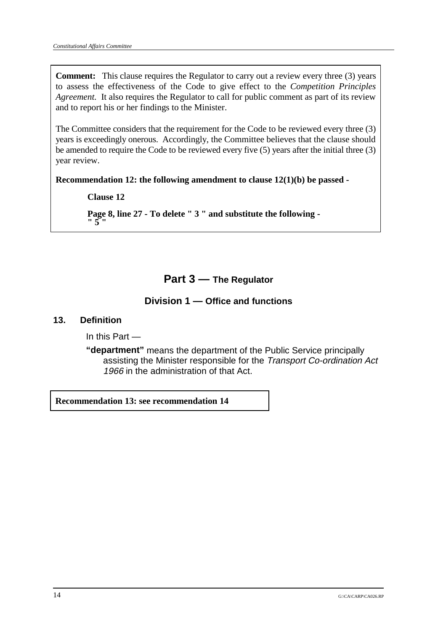**Comment:** This clause requires the Regulator to carry out a review every three (3) years to assess the effectiveness of the Code to give effect to the *Competition Principles Agreement.* It also requires the Regulator to call for public comment as part of its review and to report his or her findings to the Minister.

The Committee considers that the requirement for the Code to be reviewed every three (3) years is exceedingly onerous. Accordingly, the Committee believes that the clause should be amended to require the Code to be reviewed every five (5) years after the initial three (3) year review.

**Recommendation 12: the following amendment to clause 12(1)(b) be passed -**

**Clause 12**

**Page 8, line 27 - To delete " 3 " and substitute the following -**  $\frac{1}{5}$ 

## **Part 3 — The Regulator**

## **Division 1 — Office and functions**

## **13. Definition**

In this Part —

**"department"** means the department of the Public Service principally assisting the Minister responsible for the Transport Co-ordination Act 1966 in the administration of that Act.

**Recommendation 13: see recommendation 14**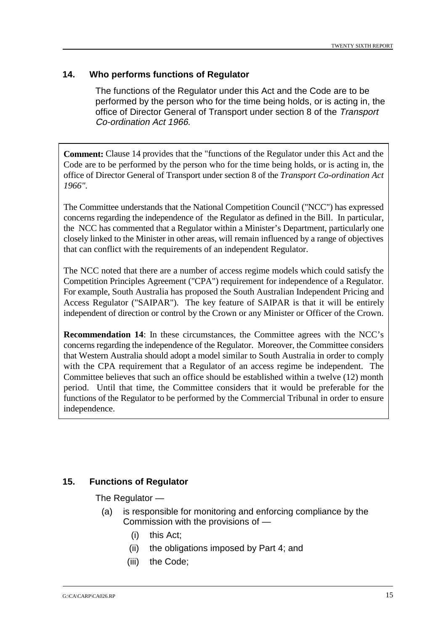#### **14. Who performs functions of Regulator**

The functions of the Regulator under this Act and the Code are to be performed by the person who for the time being holds, or is acting in, the office of Director General of Transport under section 8 of the Transport Co-ordination Act 1966.

**Comment:** Clause 14 provides that the "functions of the Regulator under this Act and the Code are to be performed by the person who for the time being holds, or is acting in, the office of Director General of Transport under section 8 of the *Transport Co-ordination Act 1966".*

The Committee understands that the National Competition Council ("NCC") has expressed concerns regarding the independence of the Regulator as defined in the Bill. In particular, the NCC has commented that a Regulator within a Minister's Department, particularly one closely linked to the Minister in other areas, will remain influenced by a range of objectives that can conflict with the requirements of an independent Regulator.

The NCC noted that there are a number of access regime models which could satisfy the Competition Principles Agreement ("CPA") requirement for independence of a Regulator. For example, South Australia has proposed the South Australian Independent Pricing and Access Regulator ("SAIPAR"). The key feature of SAIPAR is that it will be entirely independent of direction or control by the Crown or any Minister or Officer of the Crown.

**Recommendation 14**: In these circumstances, the Committee agrees with the NCC's concerns regarding the independence of the Regulator. Moreover, the Committee considers that Western Australia should adopt a model similar to South Australia in order to comply with the CPA requirement that a Regulator of an access regime be independent. The Committee believes that such an office should be established within a twelve (12) month period. Until that time, the Committee considers that it would be preferable for the functions of the Regulator to be performed by the Commercial Tribunal in order to ensure independence.

## **15. Functions of Regulator**

The Regulator —

- (a) is responsible for monitoring and enforcing compliance by the Commission with the provisions of —
	- (i) this Act;
	- (ii) the obligations imposed by Part 4; and
	- (iii) the Code;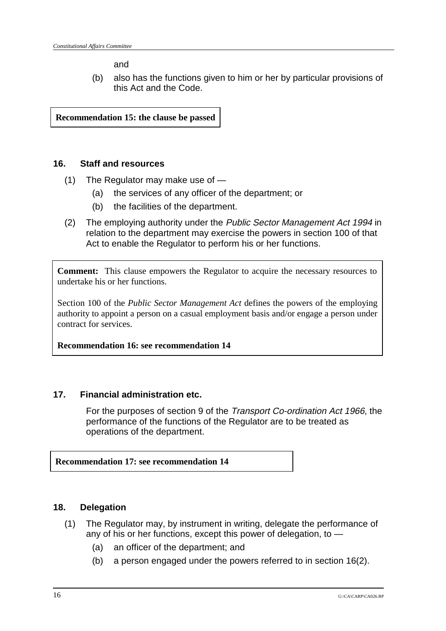and

(b) also has the functions given to him or her by particular provisions of this Act and the Code.

**Recommendation 15: the clause be passed**

## **16. Staff and resources**

- (1) The Regulator may make use of
	- (a) the services of any officer of the department; or
	- (b) the facilities of the department.
- (2) The employing authority under the Public Sector Management Act 1994 in relation to the department may exercise the powers in section 100 of that Act to enable the Regulator to perform his or her functions.

**Comment:** This clause empowers the Regulator to acquire the necessary resources to undertake his or her functions.

Section 100 of the *Public Sector Management Act* defines the powers of the employing authority to appoint a person on a casual employment basis and/or engage a person under contract for services.

**Recommendation 16: see recommendation 14**

## **17. Financial administration etc.**

For the purposes of section 9 of the Transport Co-ordination Act 1966, the performance of the functions of the Regulator are to be treated as operations of the department.

## **Recommendation 17: see recommendation 14**

## **18. Delegation**

- (1) The Regulator may, by instrument in writing, delegate the performance of any of his or her functions, except this power of delegation, to —
	- (a) an officer of the department; and
	- (b) a person engaged under the powers referred to in section 16(2).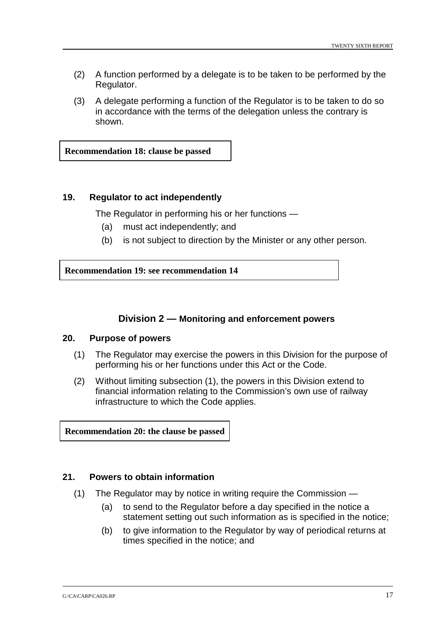- (2) A function performed by a delegate is to be taken to be performed by the Regulator.
- (3) A delegate performing a function of the Regulator is to be taken to do so in accordance with the terms of the delegation unless the contrary is shown.

**Recommendation 18: clause be passed**

#### **19. Regulator to act independently**

The Regulator in performing his or her functions —

- (a) must act independently; and
- (b) is not subject to direction by the Minister or any other person.

**Recommendation 19: see recommendation 14**

## **Division 2 — Monitoring and enforcement powers**

#### **20. Purpose of powers**

- (1) The Regulator may exercise the powers in this Division for the purpose of performing his or her functions under this Act or the Code.
- (2) Without limiting subsection (1), the powers in this Division extend to financial information relating to the Commission's own use of railway infrastructure to which the Code applies.

**Recommendation 20: the clause be passed**

#### **21. Powers to obtain information**

- (1) The Regulator may by notice in writing require the Commission
	- (a) to send to the Regulator before a day specified in the notice a statement setting out such information as is specified in the notice;
	- (b) to give information to the Regulator by way of periodical returns at times specified in the notice; and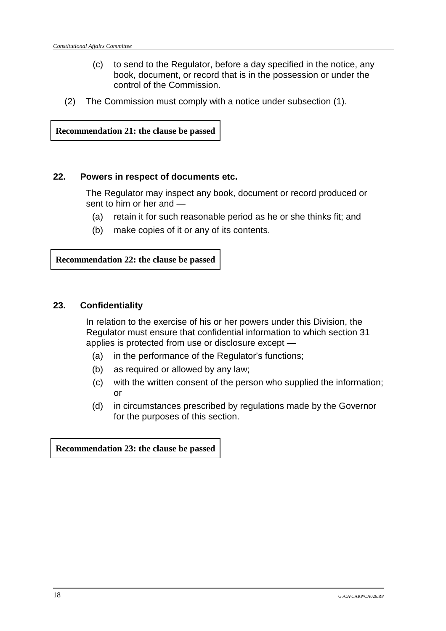- (c) to send to the Regulator, before a day specified in the notice, any book, document, or record that is in the possession or under the control of the Commission.
- (2) The Commission must comply with a notice under subsection (1).

**Recommendation 21: the clause be passed**

#### **22. Powers in respect of documents etc.**

The Regulator may inspect any book, document or record produced or sent to him or her and —

- (a) retain it for such reasonable period as he or she thinks fit; and
- (b) make copies of it or any of its contents.

**Recommendation 22: the clause be passed**

#### **23. Confidentiality**

In relation to the exercise of his or her powers under this Division, the Regulator must ensure that confidential information to which section 31 applies is protected from use or disclosure except —

- (a) in the performance of the Regulator's functions;
- (b) as required or allowed by any law;
- (c) with the written consent of the person who supplied the information; or
- (d) in circumstances prescribed by regulations made by the Governor for the purposes of this section.

**Recommendation 23: the clause be passed**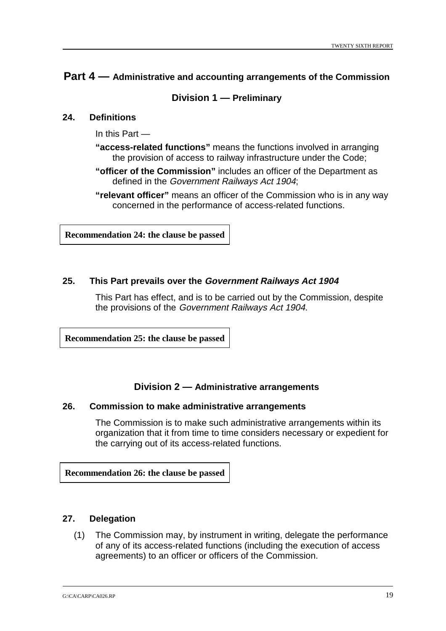## **Part 4 — Administrative and accounting arrangements of the Commission**

## **Division 1 — Preliminary**

#### **24. Definitions**

In this Part —

- **"access-related functions"** means the functions involved in arranging the provision of access to railway infrastructure under the Code;
- **"officer of the Commission"** includes an officer of the Department as defined in the Government Railways Act 1904;
- **"relevant officer"** means an officer of the Commission who is in any way concerned in the performance of access-related functions.

**Recommendation 24: the clause be passed**

## **25. This Part prevails over the Government Railways Act 1904**

This Part has effect, and is to be carried out by the Commission, despite the provisions of the Government Railways Act 1904.

**Recommendation 25: the clause be passed**

## **Division 2 — Administrative arrangements**

#### **26. Commission to make administrative arrangements**

The Commission is to make such administrative arrangements within its organization that it from time to time considers necessary or expedient for the carrying out of its access-related functions.

**Recommendation 26: the clause be passed**

## **27. Delegation**

(1) The Commission may, by instrument in writing, delegate the performance of any of its access-related functions (including the execution of access agreements) to an officer or officers of the Commission.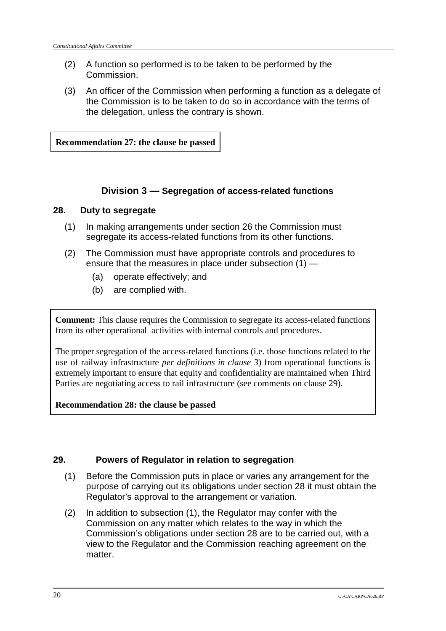- (2) A function so performed is to be taken to be performed by the Commission.
- (3) An officer of the Commission when performing a function as a delegate of the Commission is to be taken to do so in accordance with the terms of the delegation, unless the contrary is shown.

**Recommendation 27: the clause be passed**

## **Division 3 — Segregation of access-related functions**

## **28. Duty to segregate**

- (1) In making arrangements under section 26 the Commission must segregate its access-related functions from its other functions.
- (2) The Commission must have appropriate controls and procedures to ensure that the measures in place under subsection (1) —
	- (a) operate effectively; and
	- (b) are complied with.

**Comment:** This clause requires the Commission to segregate its access-related functions from its other operational activities with internal controls and procedures.

The proper segregation of the access-related functions (i.e. those functions related to the use of railway infrastructure *per definitions in clause 3*) from operational functions is extremely important to ensure that equity and confidentiality are maintained when Third Parties are negotiating access to rail infrastructure (see comments on clause 29).

**Recommendation 28: the clause be passed**

## **29. Powers of Regulator in relation to segregation**

- (1) Before the Commission puts in place or varies any arrangement for the purpose of carrying out its obligations under section 28 it must obtain the Regulator's approval to the arrangement or variation.
- (2) In addition to subsection (1), the Regulator may confer with the Commission on any matter which relates to the way in which the Commission's obligations under section 28 are to be carried out, with a view to the Regulator and the Commission reaching agreement on the matter.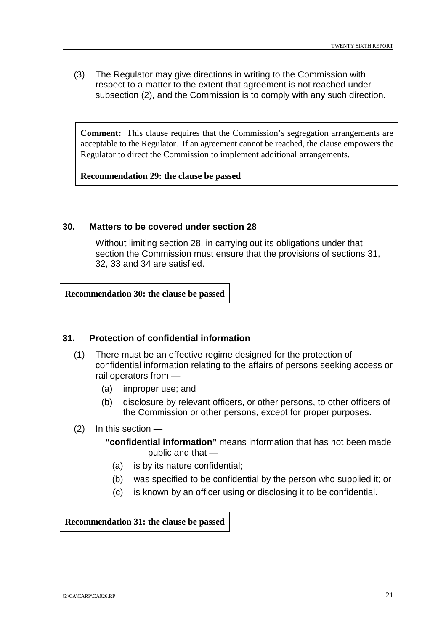(3) The Regulator may give directions in writing to the Commission with respect to a matter to the extent that agreement is not reached under subsection (2), and the Commission is to comply with any such direction.

**Comment:** This clause requires that the Commission's segregation arrangements are acceptable to the Regulator. If an agreement cannot be reached, the clause empowers the Regulator to direct the Commission to implement additional arrangements.

**Recommendation 29: the clause be passed**

#### **30. Matters to be covered under section 28**

Without limiting section 28, in carrying out its obligations under that section the Commission must ensure that the provisions of sections 31, 32, 33 and 34 are satisfied.

**Recommendation 30: the clause be passed**

#### **31. Protection of confidential information**

- (1) There must be an effective regime designed for the protection of confidential information relating to the affairs of persons seeking access or rail operators from —
	- (a) improper use; and
	- (b) disclosure by relevant officers, or other persons, to other officers of the Commission or other persons, except for proper purposes.
- (2) In this section
	- **"confidential information"** means information that has not been made public and that —
		- (a) is by its nature confidential;
		- (b) was specified to be confidential by the person who supplied it; or
		- (c) is known by an officer using or disclosing it to be confidential.

**Recommendation 31: the clause be passed**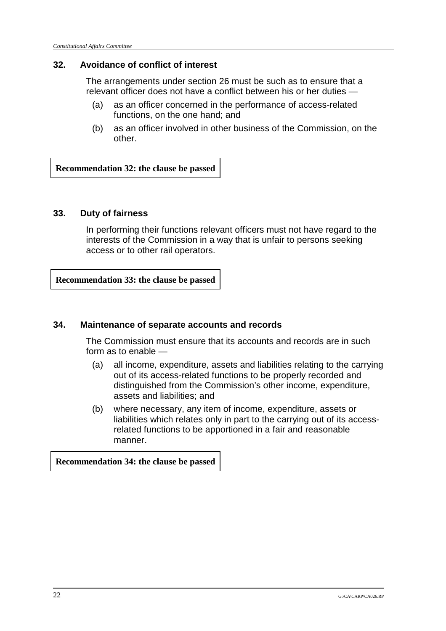## **32. Avoidance of conflict of interest**

The arrangements under section 26 must be such as to ensure that a relevant officer does not have a conflict between his or her duties —

- (a) as an officer concerned in the performance of access-related functions, on the one hand; and
- (b) as an officer involved in other business of the Commission, on the other.

**Recommendation 32: the clause be passed**

## **33. Duty of fairness**

In performing their functions relevant officers must not have regard to the interests of the Commission in a way that is unfair to persons seeking access or to other rail operators.

**Recommendation 33: the clause be passed**

## **34. Maintenance of separate accounts and records**

The Commission must ensure that its accounts and records are in such form as to enable —

- (a) all income, expenditure, assets and liabilities relating to the carrying out of its access-related functions to be properly recorded and distinguished from the Commission's other income, expenditure, assets and liabilities; and
- (b) where necessary, any item of income, expenditure, assets or liabilities which relates only in part to the carrying out of its accessrelated functions to be apportioned in a fair and reasonable manner.

**Recommendation 34: the clause be passed**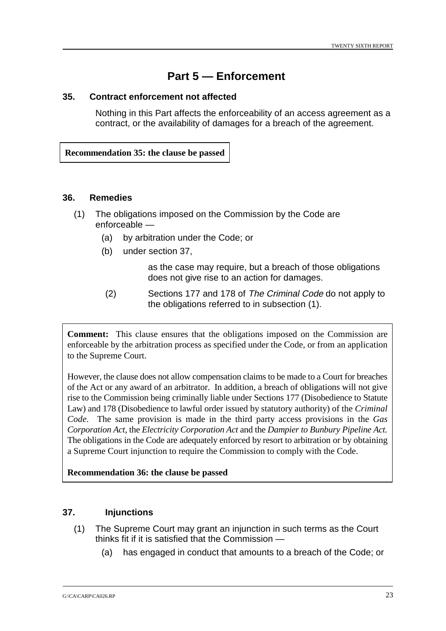## **Part 5 — Enforcement**

#### **35. Contract enforcement not affected**

Nothing in this Part affects the enforceability of an access agreement as a contract, or the availability of damages for a breach of the agreement.

**Recommendation 35: the clause be passed**

#### **36. Remedies**

- (1) The obligations imposed on the Commission by the Code are enforceable —
	- (a) by arbitration under the Code; or
	- (b) under section 37,

as the case may require, but a breach of those obligations does not give rise to an action for damages.

(2) Sections 177 and 178 of The Criminal Code do not apply to the obligations referred to in subsection (1).

**Comment:** This clause ensures that the obligations imposed on the Commission are enforceable by the arbitration process as specified under the Code*,* or from an application to the Supreme Court.

However, the clause does not allow compensation claims to be made to a Court for breaches of the Act or any award of an arbitrator. In addition, a breach of obligations will not give rise to the Commission being criminally liable under Sections 177 (Disobedience to Statute Law) and 178 (Disobedience to lawful order issued by statutory authority) of the *Criminal Code.* The same provision is made in the third party access provisions in the *Gas Corporation Act*, the *Electricity Corporation Act* and the *Dampier to Bunbury Pipeline Act.* The obligations in the Code are adequately enforced by resort to arbitration or by obtaining a Supreme Court injunction to require the Commission to comply with the Code.

## **Recommendation 36: the clause be passed**

#### **37. Injunctions**

- (1) The Supreme Court may grant an injunction in such terms as the Court thinks fit if it is satisfied that the Commission —
	- (a) has engaged in conduct that amounts to a breach of the Code; or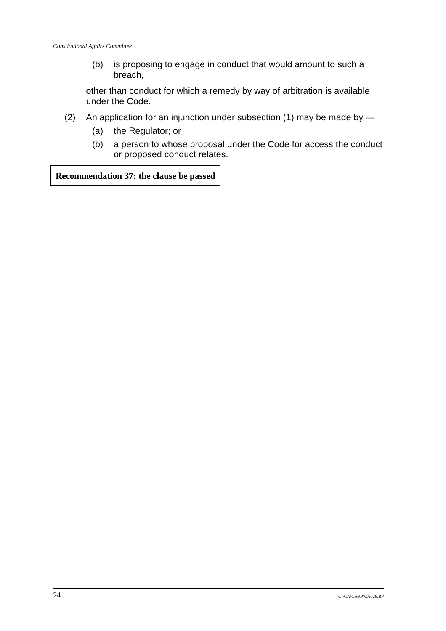(b) is proposing to engage in conduct that would amount to such a breach,

other than conduct for which a remedy by way of arbitration is available under the Code.

- (2) An application for an injunction under subsection (1) may be made by
	- (a) the Regulator; or
	- (b) a person to whose proposal under the Code for access the conduct or proposed conduct relates.

**Recommendation 37: the clause be passed**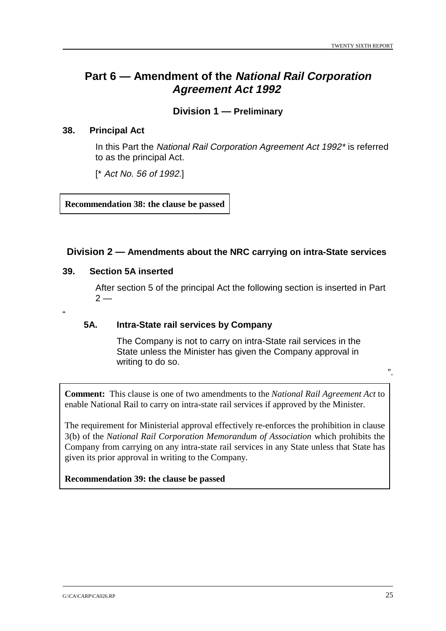## **Part 6 — Amendment of the National Rail Corporation Agreement Act 1992**

## **Division 1 — Preliminary**

#### **38. Principal Act**

In this Part the National Rail Corporation Agreement Act 1992\* is referred to as the principal Act.

[\* Act No. 56 of 1992.]

**Recommendation 38: the clause be passed**

#### **Division 2 — Amendments about the NRC carrying on intra-State services**

## **39. Section 5A inserted**

After section 5 of the principal Act the following section is inserted in Part  $2 -$ 

 $^{\prime}$ 

#### **5A. Intra-State rail services by Company**

The Company is not to carry on intra-State rail services in the State unless the Minister has given the Company approval in writing to do so.

**Comment:** This clause is one of two amendments to the *National Rail Agreement Act* to enable National Rail to carry on intra-state rail services if approved by the Minister.

The requirement for Ministerial approval effectively re-enforces the prohibition in clause 3(b) of the *National Rail Corporation Memorandum of Association* which prohibits the Company from carrying on any intra-state rail services in any State unless that State has given its prior approval in writing to the Company.

**Recommendation 39: the clause be passed**

".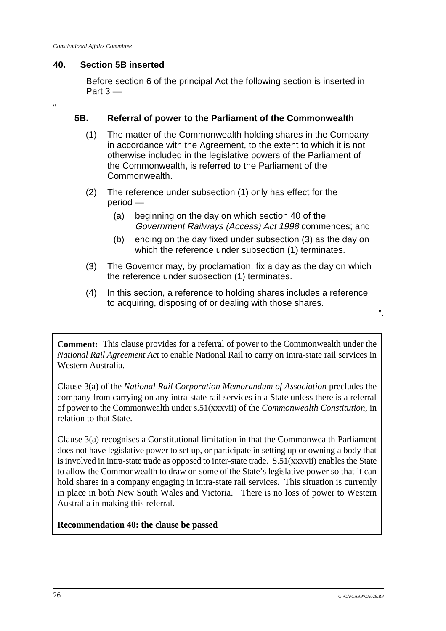## **40. Section 5B inserted**

Before section 6 of the principal Act the following section is inserted in Part 3 —

"

## **5B. Referral of power to the Parliament of the Commonwealth**

- (1) The matter of the Commonwealth holding shares in the Company in accordance with the Agreement, to the extent to which it is not otherwise included in the legislative powers of the Parliament of the Commonwealth, is referred to the Parliament of the Commonwealth.
- (2) The reference under subsection (1) only has effect for the period —
	- (a) beginning on the day on which section 40 of the Government Railways (Access) Act 1998 commences; and
	- (b) ending on the day fixed under subsection (3) as the day on which the reference under subsection (1) terminates.
- (3) The Governor may, by proclamation, fix a day as the day on which the reference under subsection (1) terminates.
- (4) In this section, a reference to holding shares includes a reference to acquiring, disposing of or dealing with those shares.

**Comment:** This clause provides for a referral of power to the Commonwealth under the *National Rail Agreement Act* to enable National Rail to carry on intra-state rail services in Western Australia.

Clause 3(a) of the *National Rail Corporation Memorandum of Association* precludes the company from carrying on any intra-state rail services in a State unless there is a referral of power to the Commonwealth under s.51(xxxvii) of the *Commonwealth Constitution*, in relation to that State.

Clause 3(a) recognises a Constitutional limitation in that the Commonwealth Parliament does not have legislative power to set up, or participate in setting up or owning a body that is involved in intra-state trade as opposed to inter-state trade. S.51(xxxvii) enables the State to allow the Commonwealth to draw on some of the State's legislative power so that it can hold shares in a company engaging in intra-state rail services. This situation is currently in place in both New South Wales and Victoria. There is no loss of power to Western Australia in making this referral.

**Recommendation 40: the clause be passed**

".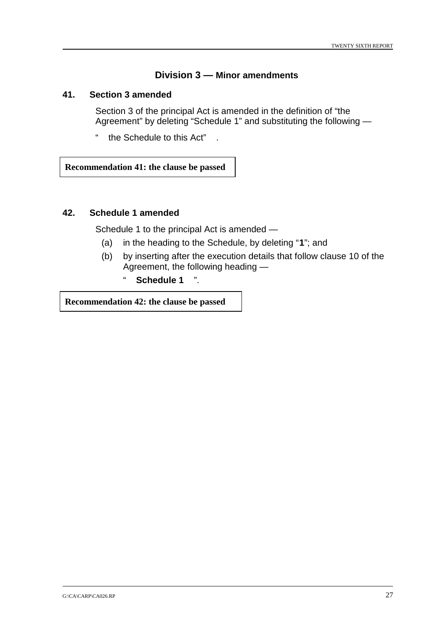## **Division 3 — Minor amendments**

#### **41. Section 3 amended**

Section 3 of the principal Act is amended in the definition of "the Agreement" by deleting "Schedule 1" and substituting the following —

" the Schedule to this Act" .

**Recommendation 41: the clause be passed**

#### **42. Schedule 1 amended**

Schedule 1 to the principal Act is amended —

- (a) in the heading to the Schedule, by deleting "**1**"; and
- (b) by inserting after the execution details that follow clause 10 of the Agreement, the following heading —
	- " **Schedule 1** ".

**Recommendation 42: the clause be passed**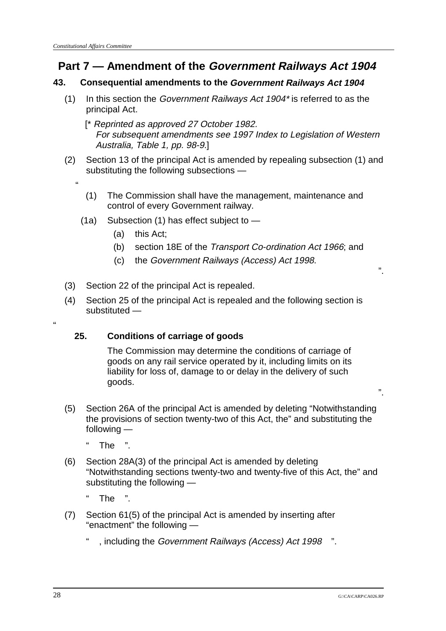"

"

# **Part 7 — Amendment of the Government Railways Act 1904**

## **43. Consequential amendments to the Government Railways Act 1904**

(1) In this section the Government Railways Act  $1904$ <sup>\*</sup> is referred to as the principal Act.

 [\* Reprinted as approved 27 October 1982. For subsequent amendments see 1997 Index to Legislation of Western Australia, Table 1, pp. 98-9.]

- (2) Section 13 of the principal Act is amended by repealing subsection (1) and substituting the following subsections —
	- (1) The Commission shall have the management, maintenance and control of every Government railway.
	- (1a) Subsection (1) has effect subject to
		- (a) this Act;
		- (b) section 18E of the Transport Co-ordination Act 1966; and
		- (c) the Government Railways (Access) Act 1998.
- (3) Section 22 of the principal Act is repealed.
- (4) Section 25 of the principal Act is repealed and the following section is substituted —

## **25. Conditions of carriage of goods**

The Commission may determine the conditions of carriage of goods on any rail service operated by it, including limits on its liability for loss of, damage to or delay in the delivery of such goods.

(5) Section 26A of the principal Act is amended by deleting "Notwithstanding the provisions of section twenty-two of this Act, the" and substituting the following —

" The ".

- (6) Section 28A(3) of the principal Act is amended by deleting "Notwithstanding sections twenty-two and twenty-five of this Act, the" and substituting the following —
	- The
- (7) Section 61(5) of the principal Act is amended by inserting after "enactment" the following —
	- " , including the Government Railways (Access) Act 1998 ".

".

".